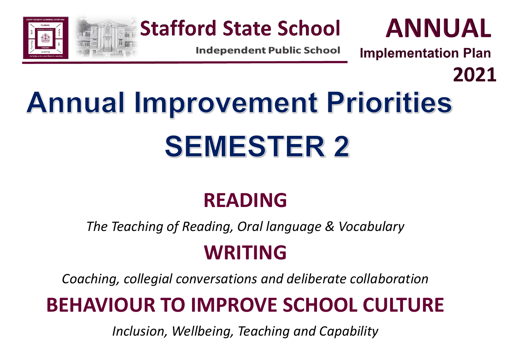

**Stafford State School** 

**Independent Public School** 

**ANNUAL** 

2021

**Implementation Plan** 

# **Annual Improvement Priorities SEMESTER 2**

### **READING**

*The Teaching of Reading, Oral language & Vocabulary*

### **WRITING**

*Coaching, collegial conversations and deliberate collaboration*

## **BEHAVIOUR TO IMPROVE SCHOOL CULTURE**

*Inclusion, Wellbeing, Teaching and Capability*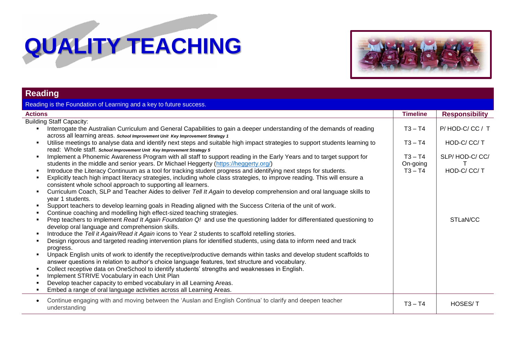## **QUALITY TEACHING**



### **Reading**

| Reading is the Foundation of Learning and a key to future success.                                                                                                                                                                                                                                                                                                                                                                                                                                                                                                                                                                                                                                                                                                                                                                                                                                                                                                                                                                                                                                                                                                                                                                                                                                                                                                                                                                                                                                                                                                                                                                                                                                                                                                                                                                                                                                                                                                                                                                                                                                                                                                                                                                                                                        |                                                              |                                                                       |
|-------------------------------------------------------------------------------------------------------------------------------------------------------------------------------------------------------------------------------------------------------------------------------------------------------------------------------------------------------------------------------------------------------------------------------------------------------------------------------------------------------------------------------------------------------------------------------------------------------------------------------------------------------------------------------------------------------------------------------------------------------------------------------------------------------------------------------------------------------------------------------------------------------------------------------------------------------------------------------------------------------------------------------------------------------------------------------------------------------------------------------------------------------------------------------------------------------------------------------------------------------------------------------------------------------------------------------------------------------------------------------------------------------------------------------------------------------------------------------------------------------------------------------------------------------------------------------------------------------------------------------------------------------------------------------------------------------------------------------------------------------------------------------------------------------------------------------------------------------------------------------------------------------------------------------------------------------------------------------------------------------------------------------------------------------------------------------------------------------------------------------------------------------------------------------------------------------------------------------------------------------------------------------------------|--------------------------------------------------------------|-----------------------------------------------------------------------|
| <b>Actions</b>                                                                                                                                                                                                                                                                                                                                                                                                                                                                                                                                                                                                                                                                                                                                                                                                                                                                                                                                                                                                                                                                                                                                                                                                                                                                                                                                                                                                                                                                                                                                                                                                                                                                                                                                                                                                                                                                                                                                                                                                                                                                                                                                                                                                                                                                            | <b>Timeline</b>                                              | <b>Responsibility</b>                                                 |
| <b>Building Staff Capacity:</b><br>Interrogate the Australian Curriculum and General Capabilities to gain a deeper understanding of the demands of reading<br>across all learning areas. School Improvement Unit Key Improvement Strategy 1<br>Utilise meetings to analyse data and identify next steps and suitable high impact strategies to support students learning to<br>read: Whole staff. school Improvement Unit Key Improvement Strategy 5<br>Implement a Phonemic Awareness Program with all staff to support reading in the Early Years and to target support for<br>students in the middle and senior years. Dr Michael Heggerty (https://heggerty.org/)<br>Introduce the Literacy Continuum as a tool for tracking student progress and identifying next steps for students.<br>Explicitly teach high impact literacy strategies, including whole class strategies, to improve reading. This will ensure a<br>consistent whole school approach to supporting all learners.<br>Curriculum Coach, SLP and Teacher Aides to deliver Tell It Again to develop comprehension and oral language skills to<br>year 1 students.<br>Support teachers to develop learning goals in Reading aligned with the Success Criteria of the unit of work.<br>Continue coaching and modelling high effect-sized teaching strategies.<br>Prep teachers to implement Read It Again Foundation Q! and use the questioning ladder for differentiated questioning to<br>develop oral language and comprehension skills.<br>Introduce the Tell it Again/Read it Again icons to Year 2 students to scaffold retelling stories.<br>Design rigorous and targeted reading intervention plans for identified students, using data to inform need and track<br>progress.<br>Unpack English units of work to identify the receptive/productive demands within tasks and develop student scaffolds to<br>answer questions in relation to author's choice language features, text structure and vocabulary.<br>Collect receptive data on OneSchool to identify students' strengths and weaknesses in English.<br>Implement STRIVE Vocabulary in each Unit Plan<br>Develop teacher capacity to embed vocabulary in all Learning Areas.<br>Embed a range of oral language activities across all Learning Areas. | $T3 - T4$<br>$T3 - T4$<br>$T3 - T4$<br>On-going<br>$T3 - T4$ | P/HOD-C/CC/T<br>HOD-C/CC/T<br>SLP/HOD-C/CC/<br>HOD-C/CC/T<br>STLaN/CC |
| Continue engaging with and moving between the 'Auslan and English Continua' to clarify and deepen teacher<br>understanding                                                                                                                                                                                                                                                                                                                                                                                                                                                                                                                                                                                                                                                                                                                                                                                                                                                                                                                                                                                                                                                                                                                                                                                                                                                                                                                                                                                                                                                                                                                                                                                                                                                                                                                                                                                                                                                                                                                                                                                                                                                                                                                                                                | $T3 - T4$                                                    | <b>HOSES/T</b>                                                        |
|                                                                                                                                                                                                                                                                                                                                                                                                                                                                                                                                                                                                                                                                                                                                                                                                                                                                                                                                                                                                                                                                                                                                                                                                                                                                                                                                                                                                                                                                                                                                                                                                                                                                                                                                                                                                                                                                                                                                                                                                                                                                                                                                                                                                                                                                                           |                                                              |                                                                       |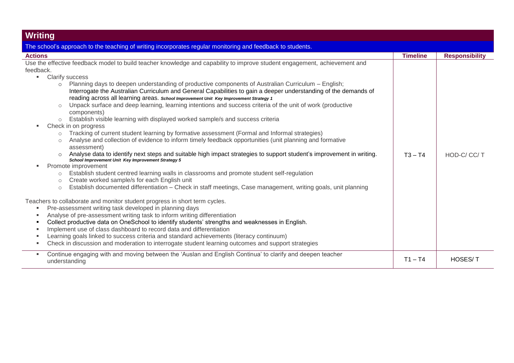| <b>Writing</b>                                                                                                                                                                                                                                                                                                                                                                                                                                                                                                                                                                                                                                                                                                                                                                                                |                 |                       |
|---------------------------------------------------------------------------------------------------------------------------------------------------------------------------------------------------------------------------------------------------------------------------------------------------------------------------------------------------------------------------------------------------------------------------------------------------------------------------------------------------------------------------------------------------------------------------------------------------------------------------------------------------------------------------------------------------------------------------------------------------------------------------------------------------------------|-----------------|-----------------------|
| The school's approach to the teaching of writing incorporates regular monitoring and feedback to students.                                                                                                                                                                                                                                                                                                                                                                                                                                                                                                                                                                                                                                                                                                    |                 |                       |
| <b>Actions</b>                                                                                                                                                                                                                                                                                                                                                                                                                                                                                                                                                                                                                                                                                                                                                                                                | <b>Timeline</b> | <b>Responsibility</b> |
| Use the effective feedback model to build teacher knowledge and capability to improve student engagement, achievement and                                                                                                                                                                                                                                                                                                                                                                                                                                                                                                                                                                                                                                                                                     |                 |                       |
| feedback.                                                                                                                                                                                                                                                                                                                                                                                                                                                                                                                                                                                                                                                                                                                                                                                                     |                 |                       |
| <b>Clarify success</b><br>п.                                                                                                                                                                                                                                                                                                                                                                                                                                                                                                                                                                                                                                                                                                                                                                                  |                 |                       |
| Planning days to deepen understanding of productive components of Australian Curriculum – English;<br>$\circ$<br>Interrogate the Australian Curriculum and General Capabilities to gain a deeper understanding of the demands of<br>reading across all learning areas. School Improvement Unit Key Improvement Strategy 1<br>Unpack surface and deep learning, learning intentions and success criteria of the unit of work (productive<br>$\circ$<br>components)<br>Establish visible learning with displayed worked sample/s and success criteria<br>Check in on progress<br>Tracking of current student learning by formative assessment (Formal and Informal strategies)<br>$\circ$<br>Analyse and collection of evidence to inform timely feedback opportunities (unit planning and formative<br>$\circ$ |                 |                       |
| assessment)<br>Analyse data to identify next steps and suitable high impact strategies to support student's improvement in writing.<br>School Improvement Unit Key Improvement Strategy 5<br>Promote improvement<br>Establish student centred learning walls in classrooms and promote student self-regulation<br>$\circ$<br>Create worked sample/s for each English unit<br>$\circ$                                                                                                                                                                                                                                                                                                                                                                                                                          | $T3 - T4$       | HOD-C/CC/T            |
| Establish documented differentiation - Check in staff meetings, Case management, writing goals, unit planning<br>$\circ$                                                                                                                                                                                                                                                                                                                                                                                                                                                                                                                                                                                                                                                                                      |                 |                       |
| Teachers to collaborate and monitor student progress in short term cycles.<br>Pre-assessment writing task developed in planning days<br>Analyse of pre-assessment writing task to inform writing differentiation<br>Collect productive data on OneSchool to identify students' strengths and weaknesses in English.<br>Implement use of class dashboard to record data and differentiation<br>Learning goals linked to success criteria and standard achievements (literacy continuum)<br>Check in discussion and moderation to interrogate student learning outcomes and support strategies                                                                                                                                                                                                                  |                 |                       |
| Continue engaging with and moving between the 'Auslan and English Continua' to clarify and deepen teacher<br>п.<br>understanding                                                                                                                                                                                                                                                                                                                                                                                                                                                                                                                                                                                                                                                                              | $T1 - T4$       | <b>HOSES/T</b>        |